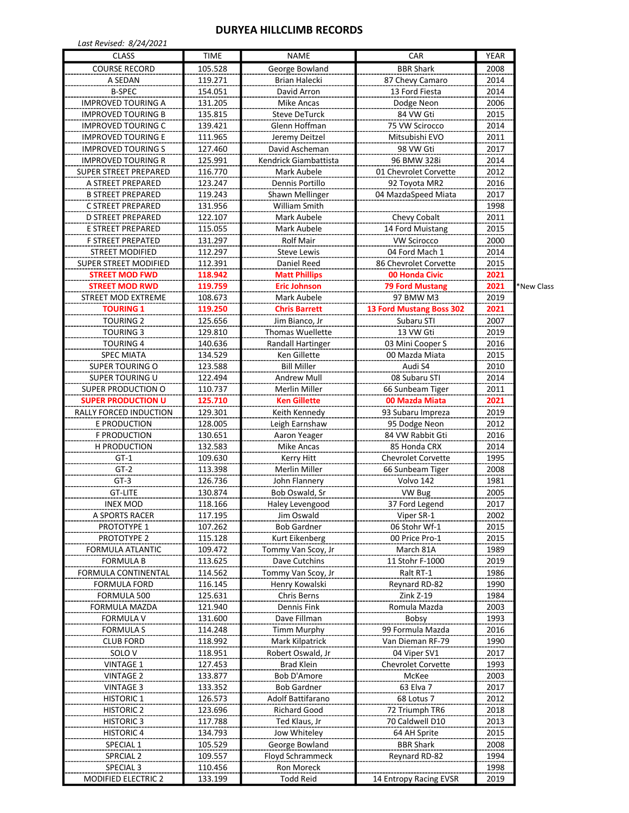## **DURYEA HILLCLIMB RECORDS**

| Last Revised: 8/24/2021                       |                    |                                 |                                        |              |            |
|-----------------------------------------------|--------------------|---------------------------------|----------------------------------------|--------------|------------|
| <b>CLASS</b>                                  | <b>TIME</b>        | <b>NAME</b>                     | CAR                                    | <b>YEAR</b>  |            |
| <b>COURSE RECORD</b>                          | 105.528            | George Bowland                  | <b>BBR Shark</b>                       | 2008         |            |
| A SEDAN                                       | 119.271            | Brian Halecki                   | 87 Chevy Camaro                        | 2014         |            |
| <b>B-SPEC</b>                                 | 154.051            | David Arron                     | 13 Ford Fiesta                         | 2014         |            |
| <b>IMPROVED TOURING A</b>                     | 131.205            | <b>Mike Ancas</b>               | Dodge Neon                             | 2006         |            |
| <b>IMPROVED TOURING B</b>                     | 135.815            | <b>Steve DeTurck</b>            | 84 VW Gti                              | 2015         |            |
| <b>IMPROVED TOURING C</b>                     | 139.421            | Glenn Hoffman                   | 75 VW Scirocco                         | 2014         |            |
| <b>IMPROVED TOURING E</b>                     | 111.965            | Jeremy Deitzel                  | Mitsubishi EVO                         | 2011         |            |
| <b>IMPROVED TOURING S</b>                     | 127.460            | David Ascheman                  | 98 VW Gti                              | 2017         |            |
| <b>IMPROVED TOURING R</b>                     | 125.991            | Kendrick Giambattista           | 96 BMW 328i                            | 2014         |            |
| <b>SUPER STREET PREPARED</b>                  | 116.770            | Mark Aubele                     | 01 Chevrolet Corvette                  | 2012         |            |
| A STREET PREPARED                             | 123.247            | Dennis Portillo                 | 92 Toyota MR2                          | 2016         |            |
| <b>B STREET PREPARED</b>                      | 119.243            | Shawn Mellinger                 | 04 MazdaSpeed Miata                    | 2017         |            |
| C STREET PREPARED                             | 131.956            | William Smith                   |                                        | 1998         |            |
| <b>D STREET PREPARED</b>                      | 122.107            | Mark Aubele                     | Chevy Cobalt                           | 2011         |            |
| E STREET PREPARED<br><b>F STREET PREPATED</b> | 115.055<br>131.297 | Mark Aubele<br><b>Rolf Mair</b> | 14 Ford Muistang<br><b>VW Scirocco</b> | 2015<br>2000 |            |
| <b>STREET MODIFIED</b>                        | 112.297            | <b>Steve Lewis</b>              | 04 Ford Mach 1                         | 2014         |            |
| <b>SUPER STREET MODIFIED</b>                  | 112.391            | Daniel Reed                     | 86 Chevrolet Corvette                  | 2015         |            |
| <b>STREET MOD FWD</b>                         | 118.942            | <b>Matt Phillips</b>            | 00 Honda Civic                         | 2021         |            |
| <b>STREET MOD RWD</b>                         | 119.759            | <b>Eric Johnson</b>             | <b>79 Ford Mustang</b>                 | 2021         | *New Class |
| STREET MOD EXTREME                            | 108.673            | Mark Aubele                     | 97 BMW M3                              | 2019         |            |
| <b>TOURING 1</b>                              | 119.250            | <b>Chris Barrett</b>            | 13 Ford Mustang Boss 302               | 2021         |            |
| <b>TOURING 2</b>                              | 125.656            | Jim Bianco, Jr                  | Subaru STI                             | 2007         |            |
| <b>TOURING 3</b>                              | 129.810            | <b>Thomas Wuellette</b>         | 13 VW Gti                              | 2019         |            |
| <b>TOURING 4</b>                              | 140.636            | Randall Hartinger               | 03 Mini Cooper S                       | 2016         |            |
| <b>SPEC MIATA</b>                             | 134.529            | Ken Gillette                    | 00 Mazda Miata                         | 2015         |            |
| <b>SUPER TOURING O</b>                        | 123.588            | <b>Bill Miller</b>              | Audi S4                                | 2010         |            |
| <b>SUPER TOURING U</b>                        | 122.494            | <b>Andrew Mull</b>              | 08 Subaru STI                          | 2014         |            |
| SUPER PRODUCTION O                            | 110.737            | Merlin Miller                   | 66 Sunbeam Tiger                       | 2011         |            |
| <b>SUPER PRODUCTION U</b>                     | 125.710            | <b>Ken Gillette</b>             | 00 Mazda Miata                         | 2021         |            |
| RALLY FORCED INDUCTION                        | 129.301            | Keith Kennedy                   | 93 Subaru Impreza                      | 2019         |            |
| E PRODUCTION                                  | 128.005            | Leigh Earnshaw                  | 95 Dodge Neon                          | 2012         |            |
| <b>F PRODUCTION</b>                           | 130.651            | Aaron Yeager                    | 84 VW Rabbit Gti                       | 2016         |            |
| <b>H PRODUCTION</b>                           | 132.583            | <b>Mike Ancas</b>               | 85 Honda CRX                           | 2014         |            |
| $GT-1$                                        | 109.630            | Kerry Hitt                      | <b>Chevrolet Corvette</b>              | 1995         |            |
| $GT-2$                                        | 113.398            | <b>Merlin Miller</b>            | 66 Sunbeam Tiger                       | 2008         |            |
| $GT-3$                                        | 126.736            | John Flannery                   | Volvo 142                              | 1981         |            |
| <b>GT-LITE</b>                                | 130.874            | <b>Bob Oswald, Sr</b>           | VW Bug                                 | 2005         |            |
| <b>INEX MOD</b>                               | 118.166            | Haley Levengood                 | 37 Ford Legend                         | 2017         |            |
| A SPORTS RACER                                | 117.195            | Jim Oswald                      | Viper SR-1                             | 2002         |            |
| PROTOTYPE 1                                   | 107.262            | <b>Bob Gardner</b>              | 06 Stohr Wf-1                          | 2015         |            |
| PROTOTYPE 2                                   | 115.128            | Kurt Eikenberg                  | 00 Price Pro-1                         | 2015         |            |
| FORMULA ATLANTIC                              | 109.472            | Tommy Van Scoy, Jr              | March 81A                              | 1989         |            |
| FORMULA B                                     | 113.625            | Dave Cutchins                   | 11 Stohr F-1000                        | 2019         |            |
| FORMULA CONTINENTAL                           | 114.562            | Tommy Van Scoy, Jr              | Ralt RT-1                              | 1986         |            |
| <b>FORMULA FORD</b>                           | 116.145            | Henry Kowalski                  | Reynard RD-82                          | 1990         |            |
| FORMULA 500                                   | 125.631            | Chris Berns                     | Zink Z-19                              | 1984         |            |
| FORMULA MAZDA                                 | 121.940            | Dennis Fink                     | Romula Mazda                           | 2003         |            |
| <b>FORMULA V</b>                              | 131.600            | Dave Fillman                    | Bobsy                                  | 1993         |            |
| <b>FORMULAS</b>                               | 114.248            | <b>Timm Murphy</b>              | 99 Formula Mazda                       | 2016         |            |
| <b>CLUB FORD</b>                              | 118.992            | Mark Kilpatrick                 | Van Dieman RF-79                       | 1990         |            |
| SOLO <sub>V</sub>                             | 118.951            | Robert Oswald, Jr               | 04 Viper SV1                           | 2017         |            |
| <b>VINTAGE 1</b>                              | 127.453            | <b>Brad Klein</b>               | Chevrolet Corvette                     | 1993         |            |
| <b>VINTAGE 2</b>                              | 133.877            | Bob D'Amore                     | McKee                                  | 2003         |            |
| <b>VINTAGE 3</b>                              | 133.352            | <b>Bob Gardner</b>              | 63 Elva 7                              | 2017         |            |
| <b>HISTORIC 1</b>                             | 126.573            | Adolf Battifarano               | 68 Lotus 7                             | 2012         |            |
| <b>HISTORIC 2</b>                             | 123.696            | <b>Richard Good</b>             | 72 Triumph TR6                         | 2018         |            |
| <b>HISTORIC 3</b>                             | 117.788            | Ted Klaus, Jr                   | 70 Caldwell D10                        | 2013         |            |
| <b>HISTORIC 4</b>                             | 134.793            | Jow Whiteley                    | 64 AH Sprite                           | 2015         |            |
| SPECIAL 1                                     | 105.529            | George Bowland                  | <b>BBR Shark</b>                       | 2008         |            |
| SPRCIAL <sub>2</sub>                          | 109.557            | Floyd Schrammeck                | Reynard RD-82                          | 1994         |            |
| SPECIAL 3                                     | 110.456            | Ron Moreck                      |                                        | 1998         |            |
| <b>MODIFIED ELECTRIC 2</b>                    | 133.199            | <b>Todd Reid</b>                | 14 Entropy Racing EVSR                 | 2019         |            |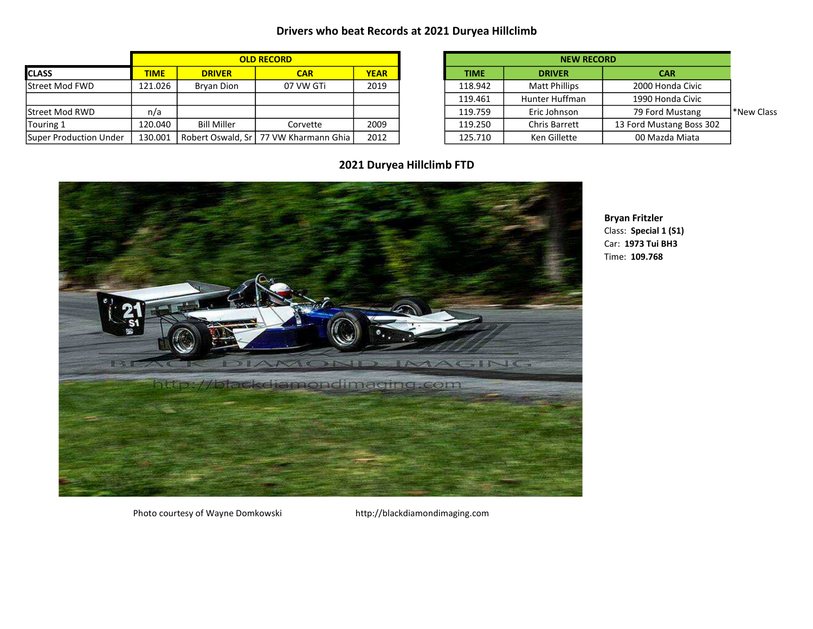## **Drivers who beat Records at 2021 Duryea Hillclimb**

|                        | <b>OLD RECORD</b> |                    |                                         |             |  | <b>NEW RECORD</b> |                      |                          |  |
|------------------------|-------------------|--------------------|-----------------------------------------|-------------|--|-------------------|----------------------|--------------------------|--|
| <b>ICLASS</b>          | <b>TIME</b>       | <b>DRIVER</b>      | <b>CAR</b>                              | <b>YEAR</b> |  | <b>TIME</b>       | <b>DRIVER</b>        | <b>CAR</b>               |  |
| <b>Street Mod FWD</b>  | 121.026           | Brvan Dion         | 07 VW GTi                               | 2019        |  | 118.942           | <b>Matt Phillips</b> | 2000 Honda Civic         |  |
|                        |                   |                    |                                         |             |  | 119.461           | Hunter Huffman       | 1990 Honda Civic         |  |
| <b>Street Mod RWD</b>  | n/a               |                    |                                         |             |  | 119.759           | Eric Johnson         | 79 Ford Mustang          |  |
| Touring 1              | 120.040           | <b>Bill Miller</b> | Corvette                                | 2009        |  | 119.250           | Chris Barrett        | 13 Ford Mustang Boss 302 |  |
| Super Production Under | 130.001           |                    | Robert Oswald, Sr   77 VW Kharmann Ghia | 2012        |  | 125.710           | Ken Gillette         | 00 Mazda Miata           |  |

| <b>OLD RECORD</b>            |             |             | <b>NEW RECORD</b>    |                          |           |
|------------------------------|-------------|-------------|----------------------|--------------------------|-----------|
| <b>CAR</b>                   | <b>YEAR</b> | <b>TIME</b> | <b>DRIVER</b>        | <b>CAR</b>               |           |
| 07 VW GTi                    | 2019        | 118.942     | <b>Matt Phillips</b> | 2000 Honda Civic         |           |
|                              |             | 119.461     | Hunter Huffman       | 1990 Honda Civic         |           |
|                              |             | 119.759     | Eric Johnson         | 79 Ford Mustang          | New Class |
| Corvette                     | 2009        | 119.250     | <b>Chris Barrett</b> | 13 Ford Mustang Boss 302 |           |
| . Sr l 77 VW Kharmann Ghia l | 2012        | 125.710     | Ken Gillette         | 00 Mazda Miata           |           |

**2021 Duryea Hillclimb FTD**



**Bryan Fritzler** Class: **Special 1 (S1)** Car: **1973 Tui BH3** Time: **109.768**

Photo courtesy of Wayne Domkowski http://blackdiamondimaging.com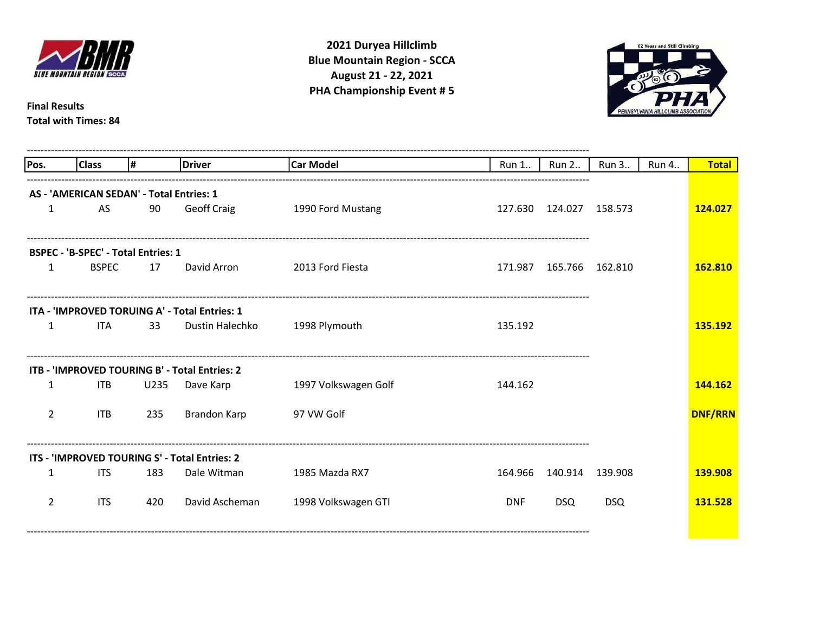

**August 21 - 22, 2021 2021 Duryea Hillclimb Blue Mountain Region - SCCA PHA Championship Event # 5**

-------------------------------------------------------------------------------------------------------------------------------------------------------------------



**Final Results Total with Times: 84**

| Pos.           | <b>Class</b>                               | l#   | Driver                                        | <b>Car Model</b>     | Run 1      | <b>Run 2</b>              | Run 3      | Run 4 | <b>Total</b>   |
|----------------|--------------------------------------------|------|-----------------------------------------------|----------------------|------------|---------------------------|------------|-------|----------------|
|                |                                            |      |                                               |                      |            |                           |            |       |                |
|                | AS - 'AMERICAN SEDAN' - Total Entries: 1   |      |                                               |                      |            |                           |            |       |                |
| 1              | AS                                         | 90   | <b>Geoff Craig</b>                            | 1990 Ford Mustang    |            | 127.630 124.027           | 158.573    |       | 124.027        |
|                |                                            |      |                                               |                      |            |                           |            |       |                |
|                | <b>BSPEC - 'B-SPEC' - Total Entries: 1</b> |      |                                               |                      |            |                           |            |       |                |
| 1              | <b>BSPEC</b>                               | 17   | David Arron                                   | 2013 Ford Fiesta     |            | 171.987  165.766  162.810 |            |       | 162.810        |
|                |                                            |      |                                               |                      |            |                           |            |       |                |
|                |                                            |      | ITA - 'IMPROVED TORUING A' - Total Entries: 1 |                      |            |                           |            |       |                |
| 1              | <b>ITA</b>                                 | 33   | Dustin Halechko                               | 1998 Plymouth        | 135.192    |                           |            |       | 135.192        |
|                |                                            |      |                                               |                      |            |                           |            |       |                |
|                |                                            |      | ITB - 'IMPROVED TOURING B' - Total Entries: 2 |                      |            |                           |            |       |                |
| 1              | ITB                                        | U235 | Dave Karp                                     | 1997 Volkswagen Golf | 144.162    |                           |            |       | 144.162        |
|                |                                            |      |                                               |                      |            |                           |            |       |                |
| $\overline{2}$ | <b>ITB</b>                                 | 235  | <b>Brandon Karp</b>                           | 97 VW Golf           |            |                           |            |       | <b>DNF/RRN</b> |
|                |                                            |      |                                               |                      |            |                           |            |       |                |
|                |                                            |      | ITS - 'IMPROVED TOURING S' - Total Entries: 2 |                      |            |                           |            |       |                |
|                |                                            |      |                                               |                      |            |                           |            |       |                |
| 1              | <b>ITS</b>                                 | 183  | Dale Witman                                   | 1985 Mazda RX7       | 164.966    | 140.914                   | 139.908    |       | 139.908        |
| $\overline{2}$ | <b>ITS</b>                                 | 420  | David Ascheman                                | 1998 Volkswagen GTI  | <b>DNF</b> | <b>DSQ</b>                | <b>DSQ</b> |       | 131.528        |
|                |                                            |      |                                               |                      |            |                           |            |       |                |
|                |                                            |      |                                               |                      |            |                           |            |       |                |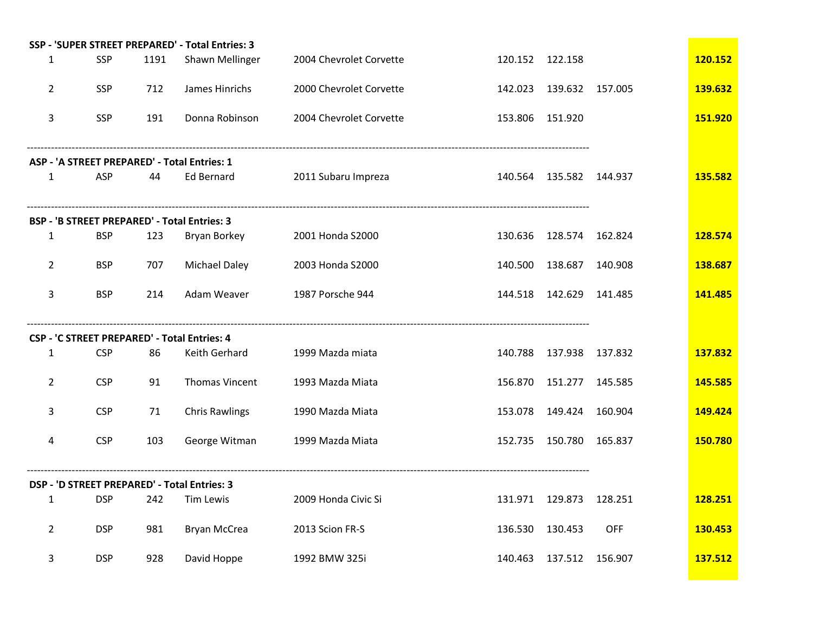|                |            |      | SSP - 'SUPER STREET PREPARED' - Total Entries: 3 |                         |         |                           |            |         |
|----------------|------------|------|--------------------------------------------------|-------------------------|---------|---------------------------|------------|---------|
| $\mathbf{1}$   | <b>SSP</b> | 1191 | Shawn Mellinger                                  | 2004 Chevrolet Corvette |         | 120.152 122.158           |            | 120.152 |
| $\overline{2}$ | SSP        | 712  | James Hinrichs                                   | 2000 Chevrolet Corvette |         | 142.023  139.632  157.005 |            | 139.632 |
| 3              | <b>SSP</b> | 191  | Donna Robinson                                   | 2004 Chevrolet Corvette |         | 153.806 151.920           |            | 151.920 |
|                |            |      | ASP - 'A STREET PREPARED' - Total Entries: 1     |                         |         |                           |            |         |
| $\mathbf{1}$   | ASP        | 44   | <b>Ed Bernard</b>                                | 2011 Subaru Impreza     |         | 140.564  135.582  144.937 |            | 135.582 |
|                |            |      | BSP - 'B STREET PREPARED' - Total Entries: 3     |                         |         |                           |            |         |
| $\mathbf{1}$   | <b>BSP</b> | 123  | Bryan Borkey                                     | 2001 Honda S2000        | 130.636 | 128.574 162.824           |            | 128.574 |
| $\overline{2}$ | <b>BSP</b> | 707  | <b>Michael Daley</b>                             | 2003 Honda S2000        | 140.500 | 138.687                   | 140.908    | 138.687 |
| 3              | <b>BSP</b> | 214  | Adam Weaver                                      | 1987 Porsche 944        |         | 144.518  142.629  141.485 |            | 141.485 |
|                |            |      | CSP - 'C STREET PREPARED' - Total Entries: 4     |                         |         |                           |            |         |
| $\mathbf{1}$   | <b>CSP</b> | 86   | Keith Gerhard                                    | 1999 Mazda miata        | 140.788 | 137.938 137.832           |            | 137.832 |
| $\overline{2}$ | <b>CSP</b> | 91   | Thomas Vincent                                   | 1993 Mazda Miata        | 156.870 | 151.277 145.585           |            | 145.585 |
| 3              | <b>CSP</b> | 71   | <b>Chris Rawlings</b>                            | 1990 Mazda Miata        |         | 153.078 149.424           | 160.904    | 149.424 |
| 4              | <b>CSP</b> | 103  | George Witman                                    | 1999 Mazda Miata        |         | 152.735 150.780 165.837   |            | 150.780 |
|                |            |      | DSP - 'D STREET PREPARED' - Total Entries: 3     |                         |         |                           |            |         |
| $\mathbf{1}$   | <b>DSP</b> | 242  | Tim Lewis                                        | 2009 Honda Civic Si     |         | 131.971  129.873  128.251 |            | 128.251 |
| $\overline{2}$ | <b>DSP</b> | 981  | Bryan McCrea                                     | 2013 Scion FR-S         |         | 136.530 130.453           | <b>OFF</b> | 130.453 |
| 3              | <b>DSP</b> | 928  | David Hoppe                                      | 1992 BMW 325i           |         | 140.463  137.512  156.907 |            | 137.512 |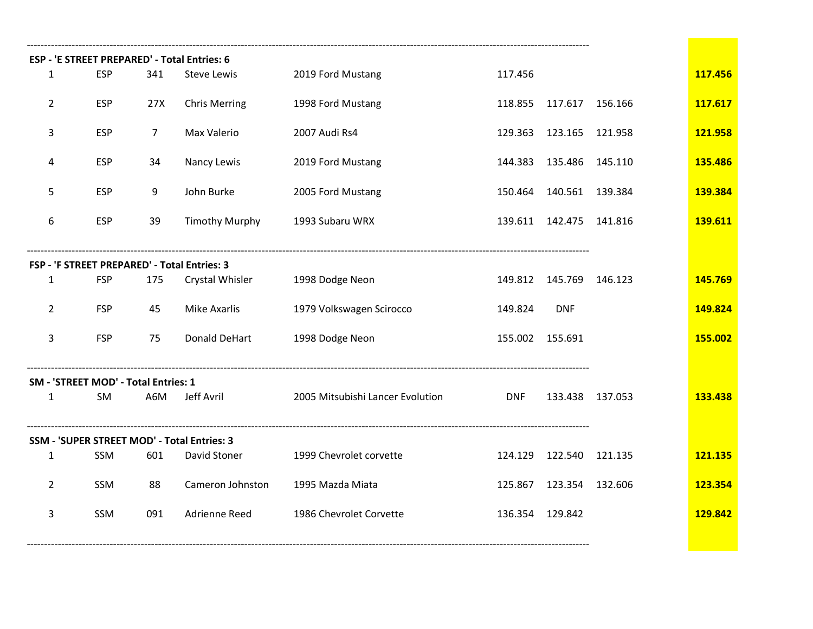|                                  |                                      |                         | ESP - 'E STREET PREPARED' - Total Entries: 6 |                                  |            |                           |                 |         |
|----------------------------------|--------------------------------------|-------------------------|----------------------------------------------|----------------------------------|------------|---------------------------|-----------------|---------|
| $\mathbf{1}$                     | <b>ESP</b>                           | 341                     | Steve Lewis                                  | 2019 Ford Mustang                | 117.456    |                           |                 | 117.456 |
| $\overline{2}$                   | <b>ESP</b>                           | 27X                     | <b>Chris Merring</b>                         | 1998 Ford Mustang                | 118.855    | 117.617 156.166           |                 | 117.617 |
| 3                                | <b>ESP</b>                           | $\overline{7}$          | Max Valerio                                  | 2007 Audi Rs4                    | 129.363    | 123.165 121.958           |                 | 121.958 |
| 4                                | <b>ESP</b>                           | 34                      | Nancy Lewis                                  | 2019 Ford Mustang                | 144.383    | 135.486                   | 145.110         | 135.486 |
| 5                                | <b>ESP</b>                           | 9                       | John Burke                                   | 2005 Ford Mustang                | 150.464    | 140.561                   | 139.384         | 139.384 |
| 6                                | <b>ESP</b>                           | 39                      | <b>Timothy Murphy</b>                        | 1993 Subaru WRX                  |            | 139.611  142.475  141.816 |                 | 139.611 |
|                                  |                                      |                         | FSP - 'F STREET PREPARED' - Total Entries: 3 |                                  |            |                           |                 |         |
| $\mathbf{1}$                     | <b>FSP</b>                           | 175                     | Crystal Whisler                              | 1998 Dodge Neon                  |            | 149.812 145.769           | 146.123         | 145.769 |
| $\overline{2}$                   | <b>FSP</b>                           | 45                      | Mike Axarlis                                 | 1979 Volkswagen Scirocco         | 149.824    | <b>DNF</b>                |                 | 149.824 |
| 3                                | <b>FSP</b>                           | 75                      | <b>Donald DeHart</b>                         | 1998 Dodge Neon                  |            | 155.002 155.691           |                 | 155.002 |
|                                  | SM - 'STREET MOD' - Total Entries: 1 |                         |                                              |                                  |            |                           |                 |         |
| $\mathbf{1}$                     | SM                                   | A6M                     | Jeff Avril                                   | 2005 Mitsubishi Lancer Evolution | <b>DNF</b> |                           | 133.438 137.053 | 133.438 |
|                                  |                                      |                         | SSM - 'SUPER STREET MOD' - Total Entries: 3  |                                  |            |                           |                 |         |
| $\mathbf{1}$                     | <b>SSM</b>                           | 601                     | David Stoner                                 | 1999 Chevrolet corvette          | 124.129    | 122.540 121.135           |                 | 121.135 |
| $\overline{2}$                   | Cameron Johnston<br>SSM<br>88        |                         |                                              | 1995 Mazda Miata                 | 125.867    | 123.354 132.606           |                 | 123.354 |
| SSM<br>091<br>Adrienne Reed<br>3 |                                      | 1986 Chevrolet Corvette |                                              | 136.354 129.842                  |            | 129.842                   |                 |         |
|                                  |                                      |                         |                                              |                                  |            |                           |                 |         |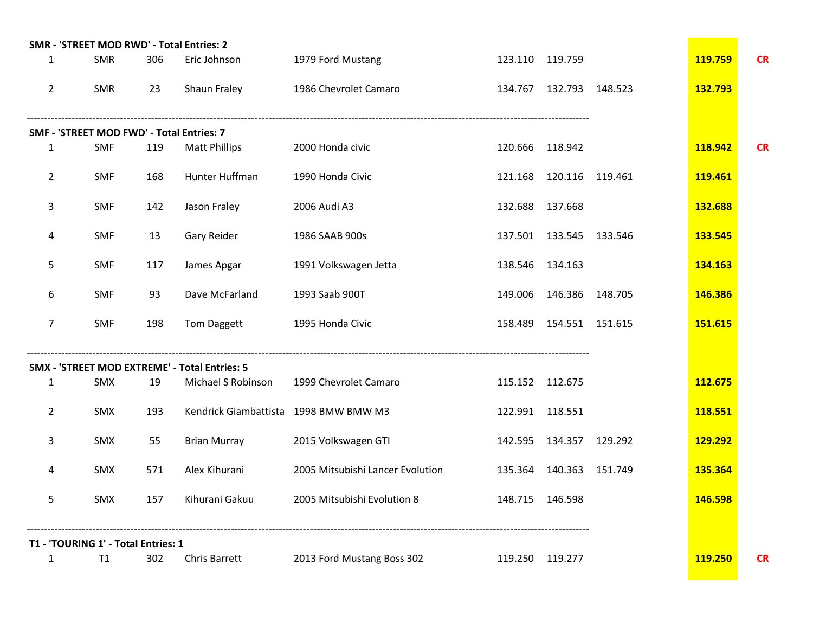|                | SMR - 'STREET MOD RWD' - Total Entries: 2 |                   |                                               |                                  |                           |                |           |
|----------------|-------------------------------------------|-------------------|-----------------------------------------------|----------------------------------|---------------------------|----------------|-----------|
| 1              | <b>SMR</b>                                | 306               | Eric Johnson                                  | 1979 Ford Mustang                | 123.110 119.759           | 119.759        | <b>CR</b> |
| $\overline{2}$ | SMR                                       | 23                | Shaun Fraley                                  | 1986 Chevrolet Camaro            | 134.767 132.793 148.523   | 132.793        |           |
|                | SMF - 'STREET MOD FWD' - Total Entries: 7 |                   |                                               |                                  |                           |                |           |
| 1              | <b>SMF</b>                                | 119               | <b>Matt Phillips</b>                          | 2000 Honda civic                 | 120.666 118.942           | 118.942        | <b>CR</b> |
| $\overline{2}$ | <b>SMF</b>                                | 168               | Hunter Huffman                                | 1990 Honda Civic                 | 121.168 120.116 119.461   | 119.461        |           |
| 3              | <b>SMF</b>                                | 142               | Jason Fraley                                  | 2006 Audi A3                     | 132.688 137.668           | 132.688        |           |
| 4              | <b>SMF</b>                                | Gary Reider<br>13 |                                               | 1986 SAAB 900s                   | 137.501  133.545  133.546 | 133.545        |           |
| 5              | <b>SMF</b>                                | 117               | James Apgar                                   | 1991 Volkswagen Jetta            | 138.546 134.163           | 134.163        |           |
| 6              | <b>SMF</b>                                | 93                | Dave McFarland                                | 1993 Saab 900T                   | 149.006 146.386 148.705   | 146.386        |           |
| 7              | <b>SMF</b>                                | 198               | Tom Daggett                                   | 1995 Honda Civic                 | 158.489  154.551  151.615 | 151.615        |           |
|                |                                           |                   | SMX - 'STREET MOD EXTREME' - Total Entries: 5 |                                  |                           |                |           |
| $\mathbf{1}$   | SMX                                       | 19                | Michael S Robinson                            | 1999 Chevrolet Camaro            | 115.152 112.675           | 112.675        |           |
| $\overline{2}$ | SMX                                       | 193               | Kendrick Giambattista 1998 BMW BMW M3         |                                  | 122.991 118.551           | 118.551        |           |
| 3              | SMX                                       | 55                | <b>Brian Murray</b>                           | 2015 Volkswagen GTI              | 142.595  134.357  129.292 | 129.292        |           |
| 4              | SMX                                       | 571               | Alex Kihurani                                 | 2005 Mitsubishi Lancer Evolution | 135.364 140.363 151.749   | 135.364        |           |
| 5              | SMX                                       | 157               | Kihurani Gakuu                                | 2005 Mitsubishi Evolution 8      | 148.715 146.598           | 146.598        |           |
|                | T1 - 'TOURING 1' - Total Entries: 1       |                   |                                               |                                  |                           |                |           |
| 1              | T1                                        | 302               | Chris Barrett                                 | 2013 Ford Mustang Boss 302       | 119.250 119.277           | <b>119.250</b> | <b>CR</b> |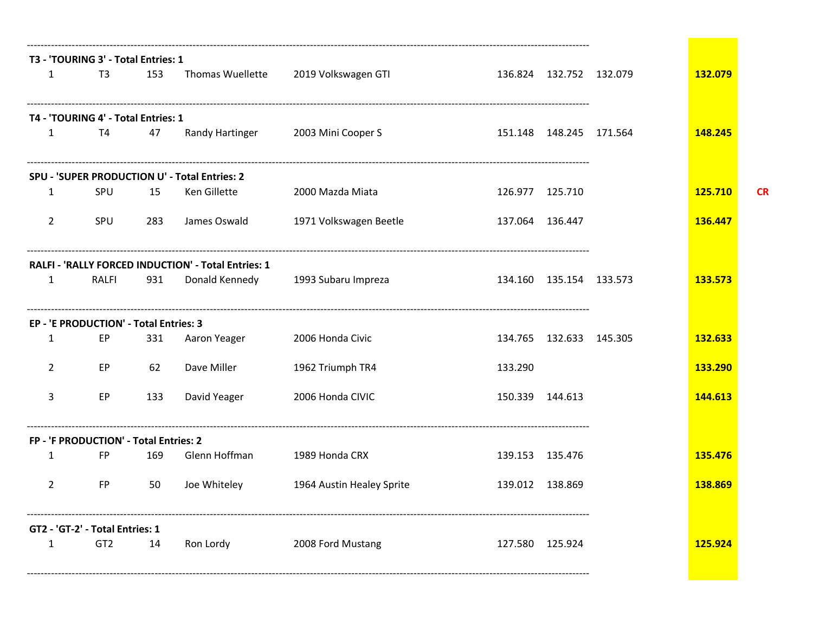|                | T3 - 'TOURING 3' - Total Entries: 1    |     |                                                     |                           |                 |                           |         |           |
|----------------|----------------------------------------|-----|-----------------------------------------------------|---------------------------|-----------------|---------------------------|---------|-----------|
| $\mathbf{1}$   | T <sub>3</sub>                         | 153 | Thomas Wuellette                                    | 2019 Volkswagen GTI       |                 | 136.824 132.752 132.079   | 132.079 |           |
|                | T4 - 'TOURING 4' - Total Entries: 1    |     |                                                     |                           |                 |                           |         |           |
| 1              | T4                                     | 47  | Randy Hartinger                                     | 2003 Mini Cooper S        |                 | 151.148  148.245  171.564 | 148.245 |           |
|                |                                        |     | SPU - 'SUPER PRODUCTION U' - Total Entries: 2       |                           |                 |                           |         |           |
| 1              | SPU                                    | 15  | Ken Gillette                                        | 2000 Mazda Miata          | 126.977 125.710 |                           | 125.710 | <b>CR</b> |
| $\overline{2}$ | SPU                                    | 283 | James Oswald                                        | 1971 Volkswagen Beetle    | 137.064 136.447 |                           | 136.447 |           |
|                |                                        |     | RALFI - 'RALLY FORCED INDUCTION' - Total Entries: 1 |                           |                 |                           |         |           |
| $\mathbf{1}$   | RALFI                                  | 931 | Donald Kennedy                                      | 1993 Subaru Impreza       |                 | 134.160 135.154 133.573   | 133.573 |           |
|                | EP - 'E PRODUCTION' - Total Entries: 3 |     |                                                     |                           |                 |                           |         |           |
| 1              | EP                                     | 331 | Aaron Yeager                                        | 2006 Honda Civic          |                 | 134.765 132.633 145.305   | 132.633 |           |
| $\overline{2}$ | EP                                     | 62  | Dave Miller                                         | 1962 Triumph TR4          | 133.290         |                           | 133.290 |           |
| 3              | EP                                     | 133 | David Yeager                                        | 2006 Honda CIVIC          | 150.339 144.613 |                           | 144.613 |           |
|                | FP - 'F PRODUCTION' - Total Entries: 2 |     |                                                     |                           |                 |                           |         |           |
| 1              | <b>FP</b>                              | 169 | Glenn Hoffman                                       | 1989 Honda CRX            |                 | 139.153 135.476           | 135.476 |           |
| $\mathbf{2}$   | <b>FP</b>                              | 50  | Joe Whiteley                                        | 1964 Austin Healey Sprite | 139.012 138.869 |                           | 138.869 |           |
|                | GT2 - 'GT-2' - Total Entries: 1        |     |                                                     |                           |                 |                           |         |           |
| 1              | GT <sub>2</sub>                        | 14  | Ron Lordy                                           | 2008 Ford Mustang         |                 | 127.580 125.924           | 125.924 |           |
|                |                                        |     |                                                     |                           |                 |                           |         |           |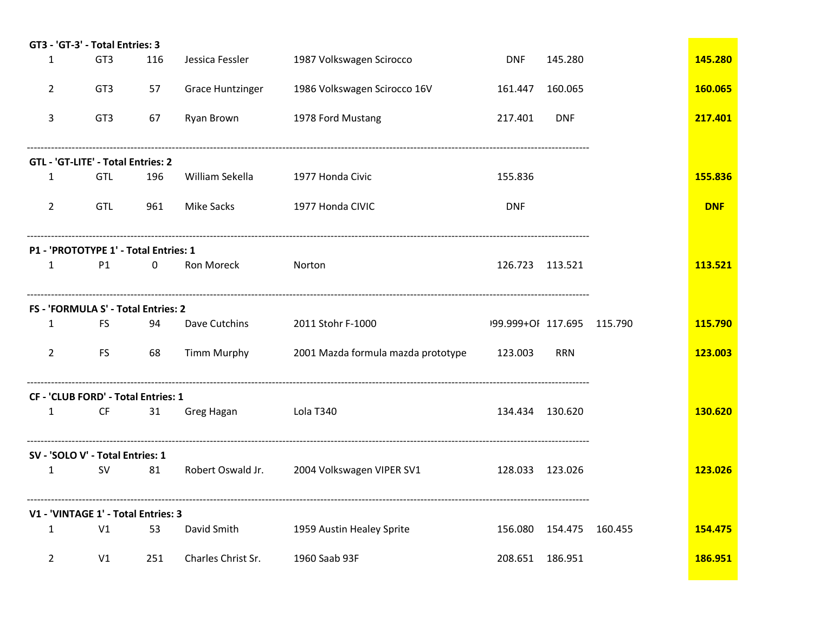|                | GT3 - 'GT-3' - Total Entries: 3       |             |                         |                                             |                            |                           |            |
|----------------|---------------------------------------|-------------|-------------------------|---------------------------------------------|----------------------------|---------------------------|------------|
| $\mathbf{1}$   | GT3                                   | 116         | Jessica Fessler         | 1987 Volkswagen Scirocco                    | <b>DNF</b>                 | 145.280                   | 145.280    |
| 2              | GT3                                   | 57          | <b>Grace Huntzinger</b> | 1986 Volkswagen Scirocco 16V                | 161.447                    | 160.065                   | 160.065    |
| 3              | GT <sub>3</sub>                       | 67          | Ryan Brown              | 1978 Ford Mustang                           | 217.401                    | <b>DNF</b>                | 217.401    |
|                | GTL - 'GT-LITE' - Total Entries: 2    |             |                         |                                             |                            |                           |            |
| $\mathbf{1}$   | GTL                                   | 196         | William Sekella         | 1977 Honda Civic                            | 155.836                    |                           | 155.836    |
| $\overline{2}$ | <b>GTL</b>                            | 961         | Mike Sacks              | 1977 Honda CIVIC                            | <b>DNF</b>                 |                           | <b>DNF</b> |
|                | P1 - 'PROTOTYPE 1' - Total Entries: 1 |             |                         |                                             |                            |                           |            |
| $\mathbf{1}$   | P1                                    | $\mathbf 0$ | Ron Moreck              | Norton                                      | 126.723 113.521            |                           | 113.521    |
|                | FS - 'FORMULA S' - Total Entries: 2   |             |                         |                                             |                            |                           |            |
| $\mathbf{1}$   | FS                                    | 94          | Dave Cutchins           | 2011 Stohr F-1000                           | 199.999+OF 117.695 115.790 |                           | 115.790    |
| $\mathbf{2}$   | FS.                                   | 68          | Timm Murphy             | 2001 Mazda formula mazda prototype          | 123.003                    | <b>RRN</b>                | 123.003    |
|                | CF - 'CLUB FORD' - Total Entries: 1   |             |                         |                                             |                            |                           |            |
| $\mathbf{1}$   | CF                                    | 31          | Greg Hagan              | <b>Example 1340</b>                         | 134.434 130.620            |                           | 130.620    |
|                | SV - 'SOLO V' - Total Entries: 1      |             |                         |                                             |                            |                           |            |
| $\mathbf{1}$   | <b>SV</b>                             | 81          |                         | Robert Oswald Jr. 2004 Volkswagen VIPER SV1 | 128.033 123.026            |                           | 123.026    |
|                | V1 - 'VINTAGE 1' - Total Entries: 3   |             |                         |                                             |                            |                           |            |
| $\mathbf{1}$   | V1                                    | 53          | David Smith             | 1959 Austin Healey Sprite                   |                            | 156.080  154.475  160.455 | 154.475    |
| $\mathbf{2}$   | V1                                    | 251         | Charles Christ Sr.      | 1960 Saab 93F                               | 208.651 186.951            |                           | 186.951    |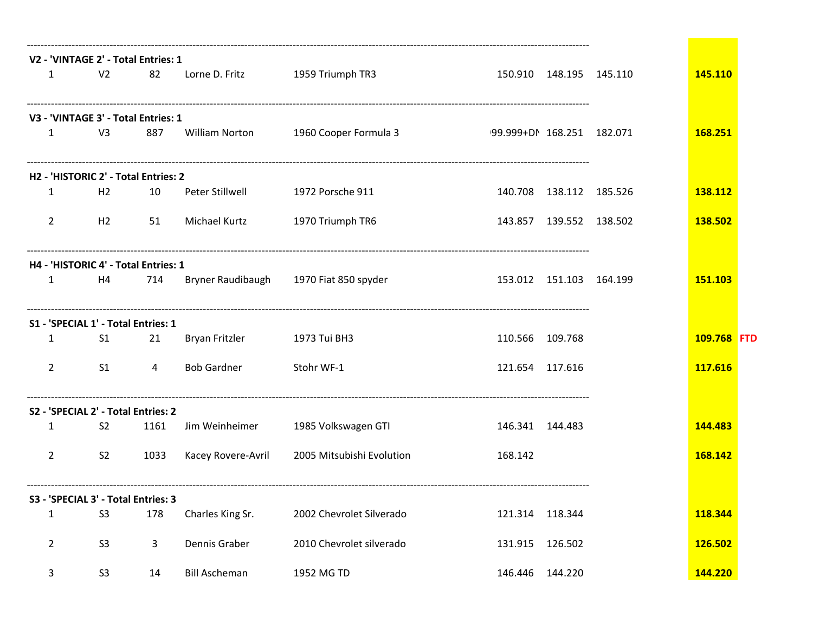|                |                | V2 - 'VINTAGE 2' - Total Entries: 1  |                      |                                        |                           |                           |             |  |
|----------------|----------------|--------------------------------------|----------------------|----------------------------------------|---------------------------|---------------------------|-------------|--|
| $\mathbf{1}$   | V <sub>2</sub> | 82                                   | Lorne D. Fritz       | 1959 Triumph TR3                       |                           | 150.910  148.195  145.110 | 145.110     |  |
|                |                | V3 - 'VINTAGE 3' - Total Entries: 1  |                      |                                        |                           |                           |             |  |
| $\mathbf{1}$   | V <sub>3</sub> | 887                                  | William Norton       | 1960 Cooper Formula 3                  | 99.999+DN 168.251 182.071 |                           | 168.251     |  |
|                |                | H2 - 'HISTORIC 2' - Total Entries: 2 |                      |                                        |                           |                           |             |  |
| 1              | H2             | 10                                   | Peter Stillwell      | 1972 Porsche 911                       |                           | 140.708  138.112  185.526 | 138.112     |  |
| $\overline{2}$ | H <sub>2</sub> | 51                                   | Michael Kurtz        | 1970 Triumph TR6                       |                           | 143.857  139.552  138.502 | 138.502     |  |
|                |                | H4 - 'HISTORIC 4' - Total Entries: 1 |                      |                                        |                           |                           |             |  |
| 1              | H4             | 714                                  |                      | Bryner Raudibaugh 1970 Fiat 850 spyder |                           | 153.012  151.103  164.199 | 151.103     |  |
|                |                | S1 - 'SPECIAL 1' - Total Entries: 1  |                      |                                        |                           |                           |             |  |
| 1              | S <sub>1</sub> | 21                                   | Bryan Fritzler       | 1973 Tui BH3                           | 110.566 109.768           |                           | 109.768 FTD |  |
| $\overline{2}$ | S <sub>1</sub> | 4                                    | <b>Bob Gardner</b>   | Stohr WF-1                             | 121.654 117.616           |                           | 117.616     |  |
|                |                | S2 - 'SPECIAL 2' - Total Entries: 2  |                      |                                        |                           |                           |             |  |
| 1              | S <sub>2</sub> | 1161                                 | Jim Weinheimer       | 1985 Volkswagen GTI                    | 146.341 144.483           |                           | 144.483     |  |
| $\overline{2}$ | S <sub>2</sub> | 1033                                 | Kacey Rovere-Avril   | 2005 Mitsubishi Evolution              | 168.142                   |                           | 168.142     |  |
|                |                | S3 - 'SPECIAL 3' - Total Entries: 3  |                      |                                        |                           |                           |             |  |
| $\mathbf{1}$   | S <sub>3</sub> | 178                                  | Charles King Sr.     | 2002 Chevrolet Silverado               |                           | 121.314 118.344           | 118.344     |  |
| $\overline{a}$ | S <sub>3</sub> | 3                                    | Dennis Graber        | 2010 Chevrolet silverado               |                           | 131.915 126.502           | 126.502     |  |
| 3 <sup>7</sup> | S <sub>3</sub> | 14                                   | <b>Bill Ascheman</b> | 1952 MG TD                             |                           | 146.446 144.220           | 144.220     |  |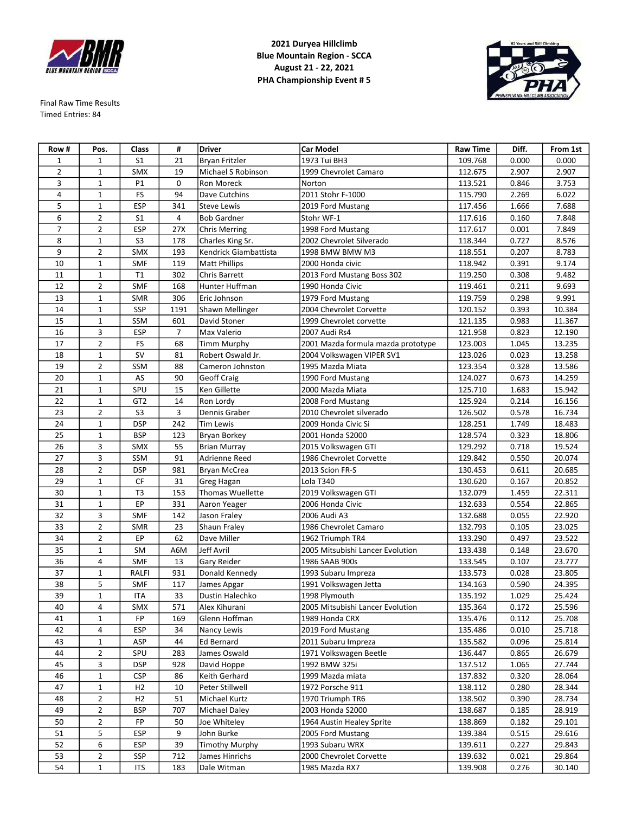

Final Raw Time Results Timed Entries: 84

**2021 Duryea Hillclimb Blue Mountain Region - SCCA August 21 - 22, 2021 PHA Championship Event # 5**



| Row #          | Pos.           | Class           | #              | <b>Driver</b>                           | <b>Car Model</b>                   | <b>Raw Time</b> | Diff. | From 1st |
|----------------|----------------|-----------------|----------------|-----------------------------------------|------------------------------------|-----------------|-------|----------|
| 1              | 1              | S <sub>1</sub>  | 21             | Bryan Fritzler                          | 1973 Tui BH3                       | 109.768         | 0.000 | 0.000    |
| $\overline{2}$ | $\mathbf{1}$   | SMX             | 19             | Michael S Robinson                      | 1999 Chevrolet Camaro              | 112.675         | 2.907 | 2.907    |
| 3              | $1\,$          | P1              | 0              | Ron Moreck                              | Norton                             | 113.521         | 0.846 | 3.753    |
| 4              | $\mathbf{1}$   | FS              | 94             | Dave Cutchins                           | 2011 Stohr F-1000                  | 115.790         | 2.269 | 6.022    |
| 5              | $\mathbf{1}$   | <b>ESP</b>      | 341            | <b>Steve Lewis</b>                      | 2019 Ford Mustang                  | 117.456         | 1.666 | 7.688    |
| 6              | $\overline{2}$ | S <sub>1</sub>  | $\overline{4}$ | <b>Bob Gardner</b>                      | Stohr WF-1                         | 117.616         | 0.160 | 7.848    |
| 7              | 2              | <b>ESP</b>      | 27X            | <b>Chris Merring</b>                    | 1998 Ford Mustang                  | 117.617         | 0.001 | 7.849    |
| 8              | 1              | S <sub>3</sub>  | 178            | Charles King Sr.                        | 2002 Chevrolet Silverado           | 118.344         | 0.727 | 8.576    |
| 9              | $\overline{2}$ | SMX             | 193            | Kendrick Giambattista                   | 1998 BMW BMW M3                    | 118.551         | 0.207 | 8.783    |
| 10             | $1\,$          | SMF             | 119            | <b>Matt Phillips</b>                    | 2000 Honda civic                   | 118.942         | 0.391 | 9.174    |
| 11             | $\mathbf{1}$   | T1              | 302            | Chris Barrett                           | 2013 Ford Mustang Boss 302         | 119.250         | 0.308 | 9.482    |
| 12             | $\overline{2}$ | <b>SMF</b>      | 168            | Hunter Huffman                          | 1990 Honda Civic                   | 119.461         | 0.211 | 9.693    |
| 13             | $\mathbf{1}$   | <b>SMR</b>      | 306            | Eric Johnson                            | 1979 Ford Mustang                  | 119.759         | 0.298 | 9.991    |
| 14             | $\mathbf{1}$   | SSP             | 1191           | Shawn Mellinger                         | 2004 Chevrolet Corvette            | 120.152         | 0.393 | 10.384   |
| 15             | 1              | SSM             | 601            | David Stoner                            | 1999 Chevrolet corvette            | 121.135         | 0.983 | 11.367   |
| 16             | 3              | ESP             | $\overline{7}$ | Max Valerio                             | 2007 Audi Rs4                      | 121.958         | 0.823 | 12.190   |
| 17             | $\overline{2}$ | FS              | 68             |                                         | 2001 Mazda formula mazda prototype |                 | 1.045 | 13.235   |
|                |                | <b>SV</b>       |                | <b>Timm Murphy</b><br>Robert Oswald Jr. |                                    | 123.003         |       |          |
| 18             | $\mathbf{1}$   |                 | 81             |                                         | 2004 Volkswagen VIPER SV1          | 123.026         | 0.023 | 13.258   |
| 19             | $\overline{2}$ | SSM             | 88             | Cameron Johnston                        | 1995 Mazda Miata                   | 123.354         | 0.328 | 13.586   |
| 20             | $\mathbf{1}$   | AS              | 90             | Geoff Craig                             | 1990 Ford Mustang                  | 124.027         | 0.673 | 14.259   |
| 21             | $\mathbf{1}$   | SPU             | 15             | Ken Gillette                            | 2000 Mazda Miata                   | 125.710         | 1.683 | 15.942   |
| 22             | 1              | GT <sub>2</sub> | 14             | Ron Lordy                               | 2008 Ford Mustang                  | 125.924         | 0.214 | 16.156   |
| 23             | $\overline{2}$ | S <sub>3</sub>  | 3              | Dennis Graber                           | 2010 Chevrolet silverado           | 126.502         | 0.578 | 16.734   |
| 24             | $1\,$          | <b>DSP</b>      | 242            | <b>Tim Lewis</b>                        | 2009 Honda Civic Si                | 128.251         | 1.749 | 18.483   |
| 25             | $\mathbf{1}$   | <b>BSP</b>      | 123            | Bryan Borkey                            | 2001 Honda S2000                   | 128.574         | 0.323 | 18.806   |
| 26             | 3              | SMX             | 55             | <b>Brian Murray</b>                     | 2015 Volkswagen GTI                | 129.292         | 0.718 | 19.524   |
| 27             | 3              | SSM             | 91             | Adrienne Reed                           | 1986 Chevrolet Corvette            | 129.842         | 0.550 | 20.074   |
| 28             | $\overline{2}$ | <b>DSP</b>      | 981            | <b>Bryan McCrea</b>                     | 2013 Scion FR-S                    | 130.453         | 0.611 | 20.685   |
| 29             | 1              | CF              | 31             | <b>Greg Hagan</b>                       | Lola T340                          | 130.620         | 0.167 | 20.852   |
| 30             | $\mathbf{1}$   | T <sub>3</sub>  | 153            | Thomas Wuellette                        | 2019 Volkswagen GTI                | 132.079         | 1.459 | 22.311   |
| 31             | $\mathbf{1}$   | EP              | 331            | Aaron Yeager                            | 2006 Honda Civic                   | 132.633         | 0.554 | 22.865   |
| 32             | 3              | <b>SMF</b>      | 142            | Jason Fraley                            | 2006 Audi A3                       | 132.688         | 0.055 | 22.920   |
| 33             | $\overline{2}$ | <b>SMR</b>      | 23             | Shaun Fraley                            | 1986 Chevrolet Camaro              | 132.793         | 0.105 | 23.025   |
| 34             | $\overline{2}$ | EР              | 62             | Dave Miller                             | 1962 Triumph TR4                   | 133.290         | 0.497 | 23.522   |
| 35             | $\mathbf{1}$   | SM              | A6M            | <b>Jeff Avril</b>                       | 2005 Mitsubishi Lancer Evolution   | 133.438         | 0.148 | 23.670   |
| 36             | 4              | <b>SMF</b>      | 13             | Gary Reider                             | 1986 SAAB 900s                     | 133.545         | 0.107 | 23.777   |
| 37             | 1              | RALFI           | 931            | Donald Kennedy                          | 1993 Subaru Impreza                | 133.573         | 0.028 | 23.805   |
| 38             | 5              | <b>SMF</b>      | 117            | James Apgar                             | 1991 Volkswagen Jetta              | 134.163         | 0.590 | 24.395   |
| 39             | $\mathbf{1}$   | ITA             | 33             | Dustin Halechko                         | 1998 Plymouth                      | 135.192         | 1.029 | 25.424   |
| 40             | 4              | <b>SMX</b>      | 571            | Alex Kihurani                           | 2005 Mitsubishi Lancer Evolution   | 135.364         | 0.172 | 25.596   |
| 41             | 1              | FP              | 169            | Glenn Hoffman                           | 1989 Honda CRX                     | 135.476         | 0.112 | 25.708   |
| 42             | 4              | <b>ESP</b>      | 34             | Nancy Lewis                             | 2019 Ford Mustang                  | 135.486         | 0.010 | 25.718   |
| 43             | $\mathbf{1}$   | ASP             | 44             | <b>Ed Bernard</b>                       | 2011 Subaru Impreza                | 135.582         | 0.096 | 25.814   |
| 44             | 2              | SPU             | 283            | James Oswald                            | 1971 Volkswagen Beetle             | 136.447         | 0.865 | 26.679   |
| 45             | 3              | <b>DSP</b>      | 928            | David Hoppe                             | 1992 BMW 325i                      | 137.512         | 1.065 | 27.744   |
| 46             | 1              | <b>CSP</b>      | 86             | Keith Gerhard                           | 1999 Mazda miata                   | 137.832         | 0.320 | 28.064   |
| 47             | 1              | H2              | 10             | Peter Stillwell                         | 1972 Porsche 911                   | 138.112         | 0.280 | 28.344   |
| 48             | $\overline{2}$ | H2              | 51             | Michael Kurtz                           | 1970 Triumph TR6                   | 138.502         | 0.390 | 28.734   |
| 49             | $\overline{2}$ | <b>BSP</b>      | 707            | Michael Daley                           | 2003 Honda S2000                   | 138.687         | 0.185 | 28.919   |
| 50             | 2              | FP              | 50             | Joe Whiteley                            | 1964 Austin Healey Sprite          | 138.869         | 0.182 | 29.101   |
| 51             | 5              | ESP             | 9              | John Burke                              | 2005 Ford Mustang                  | 139.384         | 0.515 | 29.616   |
| 52             | 6              | ESP             | 39             | <b>Timothy Murphy</b>                   | 1993 Subaru WRX                    | 139.611         | 0.227 | 29.843   |
| 53             | 2              | SSP             | 712            | James Hinrichs                          | 2000 Chevrolet Corvette            | 139.632         | 0.021 | 29.864   |
| 54             | $\mathbf 1$    | <b>ITS</b>      | 183            | Dale Witman                             | 1985 Mazda RX7                     | 139.908         |       | 30.140   |
|                |                |                 |                |                                         |                                    |                 | 0.276 |          |